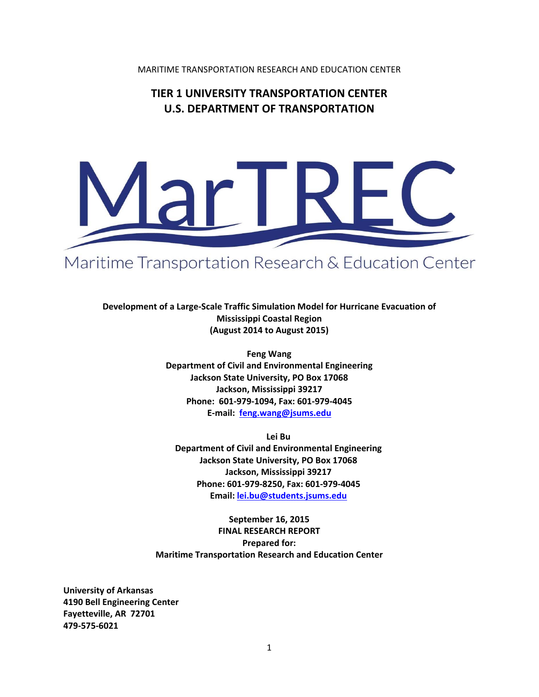MARITIME TRANSPORTATION RESEARCH AND EDUCATION CENTER

# **TIER 1 UNIVERSITY TRANSPORTATION CENTER U.S. DEPARTMENT OF TRANSPORTATION**



# Maritime Transportation Research & Education Center

**Development of a Large‐Scale Traffic Simulation Model for Hurricane Evacuation of Mississippi Coastal Region (August 2014 to August 2015)**

> **Feng Wang Department of Civil and Environmental Engineering Jackson State University, PO Box 17068 Jackson, Mississippi 39217 Phone: 601‐979‐1094, Fax: 601‐979‐4045 E‐mail: feng.wang@jsums.edu**

**Lei Bu Department of Civil and Environmental Engineering Jackson State University, PO Box 17068 Jackson, Mississippi 39217 Phone: 601‐979‐8250, Fax: 601‐979‐4045 Email: lei.bu@students.jsums.edu**

**September 16, 2015 FINAL RESEARCH REPORT Prepared for: Maritime Transportation Research and Education Center**

**University of Arkansas 4190 Bell Engineering Center Fayetteville, AR 72701 479‐575‐6021**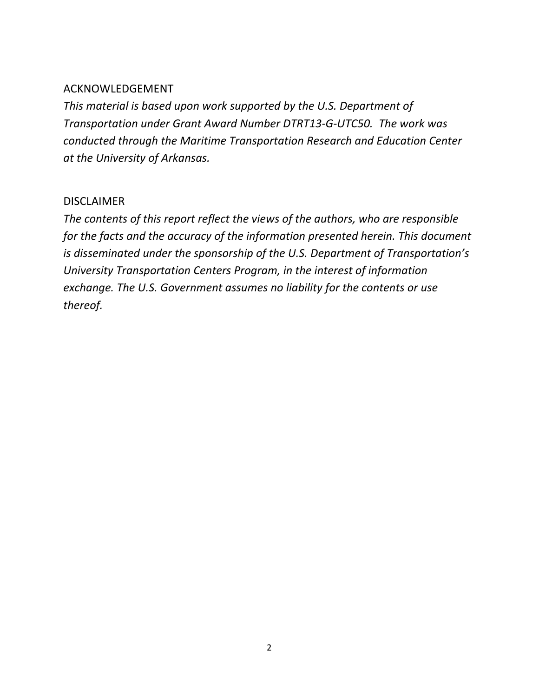# ACKNOWLEDGEMENT

*This material is based upon work supported by the U.S. Department of Transportation under Grant Award Number DTRT13‐G‐UTC50. The work was conducted through the Maritime Transportation Research and Education Center at the University of Arkansas.* 

# DISCLAIMER

*The contents of this report reflect the views of the authors, who are responsible for the facts and the accuracy of the information presented herein. This document is disseminated under the sponsorship of the U.S. Department of Transportation's University Transportation Centers Program, in the interest of information exchange. The U.S. Government assumes no liability for the contents or use thereof.*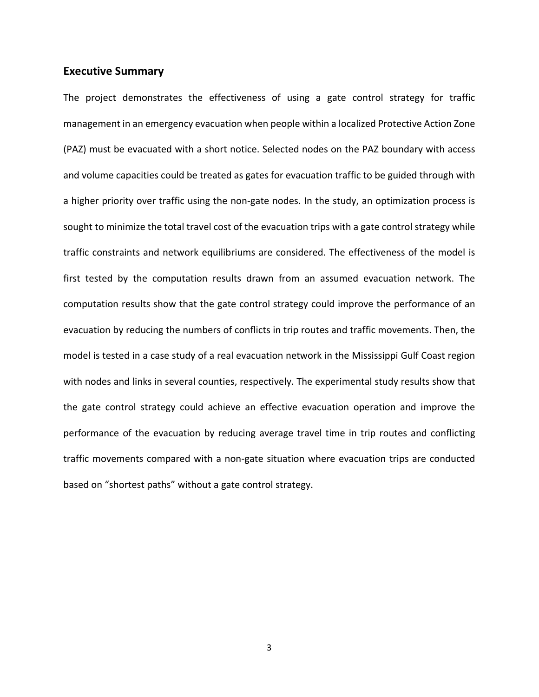#### **Executive Summary**

The project demonstrates the effectiveness of using a gate control strategy for traffic management in an emergency evacuation when people within a localized Protective Action Zone (PAZ) must be evacuated with a short notice. Selected nodes on the PAZ boundary with access and volume capacities could be treated as gates for evacuation traffic to be guided through with a higher priority over traffic using the non-gate nodes. In the study, an optimization process is sought to minimize the total travel cost of the evacuation trips with a gate control strategy while traffic constraints and network equilibriums are considered. The effectiveness of the model is first tested by the computation results drawn from an assumed evacuation network. The computation results show that the gate control strategy could improve the performance of an evacuation by reducing the numbers of conflicts in trip routes and traffic movements. Then, the model is tested in a case study of a real evacuation network in the Mississippi Gulf Coast region with nodes and links in several counties, respectively. The experimental study results show that the gate control strategy could achieve an effective evacuation operation and improve the performance of the evacuation by reducing average travel time in trip routes and conflicting traffic movements compared with a non‐gate situation where evacuation trips are conducted based on "shortest paths" without a gate control strategy.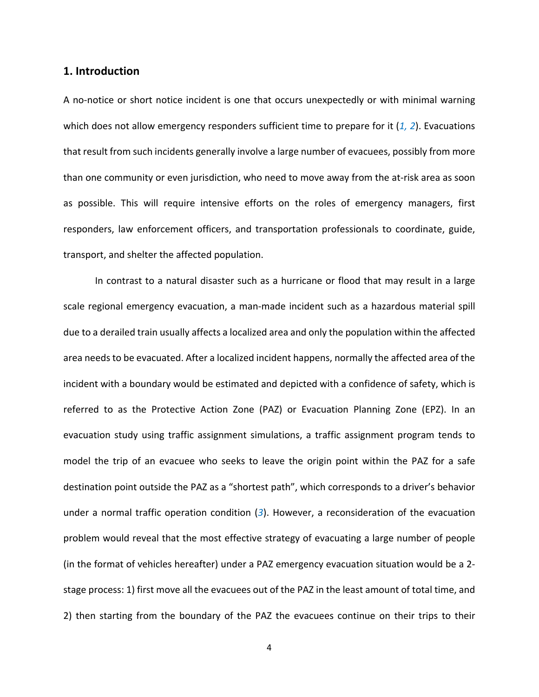# **1. Introduction**

A no-notice or short notice incident is one that occurs unexpectedly or with minimal warning which does not allow emergency responders sufficient time to prepare for it (*1, 2*). Evacuations that result from such incidents generally involve a large number of evacuees, possibly from more than one community or even jurisdiction, who need to move away from the at‐risk area as soon as possible. This will require intensive efforts on the roles of emergency managers, first responders, law enforcement officers, and transportation professionals to coordinate, guide, transport, and shelter the affected population.

In contrast to a natural disaster such as a hurricane or flood that may result in a large scale regional emergency evacuation, a man‐made incident such as a hazardous material spill due to a derailed train usually affects a localized area and only the population within the affected area needs to be evacuated. After a localized incident happens, normally the affected area of the incident with a boundary would be estimated and depicted with a confidence of safety, which is referred to as the Protective Action Zone (PAZ) or Evacuation Planning Zone (EPZ). In an evacuation study using traffic assignment simulations, a traffic assignment program tends to model the trip of an evacuee who seeks to leave the origin point within the PAZ for a safe destination point outside the PAZ as a "shortest path", which corresponds to a driver's behavior under a normal traffic operation condition (*3*). However, a reconsideration of the evacuation problem would reveal that the most effective strategy of evacuating a large number of people (in the format of vehicles hereafter) under a PAZ emergency evacuation situation would be a 2‐ stage process: 1) first move all the evacuees out of the PAZ in the least amount of total time, and 2) then starting from the boundary of the PAZ the evacuees continue on their trips to their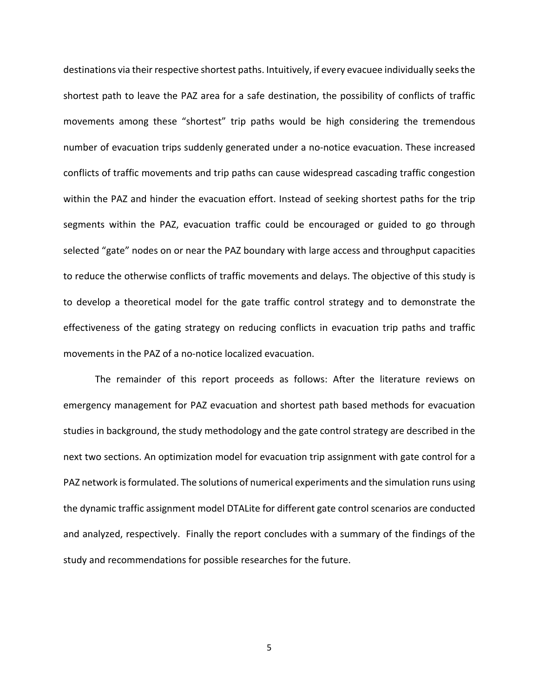destinations via their respective shortest paths. Intuitively, if every evacuee individually seeks the shortest path to leave the PAZ area for a safe destination, the possibility of conflicts of traffic movements among these "shortest" trip paths would be high considering the tremendous number of evacuation trips suddenly generated under a no-notice evacuation. These increased conflicts of traffic movements and trip paths can cause widespread cascading traffic congestion within the PAZ and hinder the evacuation effort. Instead of seeking shortest paths for the trip segments within the PAZ, evacuation traffic could be encouraged or guided to go through selected "gate" nodes on or near the PAZ boundary with large access and throughput capacities to reduce the otherwise conflicts of traffic movements and delays. The objective of this study is to develop a theoretical model for the gate traffic control strategy and to demonstrate the effectiveness of the gating strategy on reducing conflicts in evacuation trip paths and traffic movements in the PAZ of a no‐notice localized evacuation.

The remainder of this report proceeds as follows: After the literature reviews on emergency management for PAZ evacuation and shortest path based methods for evacuation studies in background, the study methodology and the gate control strategy are described in the next two sections. An optimization model for evacuation trip assignment with gate control for a PAZ network is formulated. The solutions of numerical experiments and the simulation runs using the dynamic traffic assignment model DTALite for different gate control scenarios are conducted and analyzed, respectively. Finally the report concludes with a summary of the findings of the study and recommendations for possible researches for the future.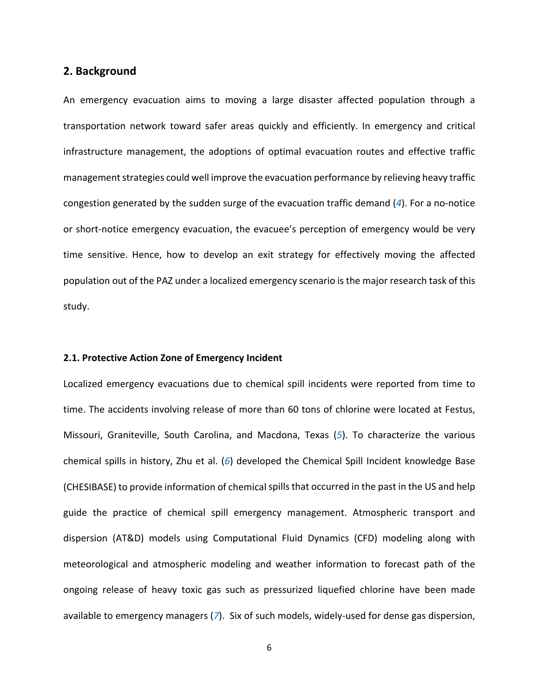# **2. Background**

An emergency evacuation aims to moving a large disaster affected population through a transportation network toward safer areas quickly and efficiently. In emergency and critical infrastructure management, the adoptions of optimal evacuation routes and effective traffic management strategies could well improve the evacuation performance by relieving heavy traffic congestion generated by the sudden surge of the evacuation traffic demand (*4*). For a no‐notice or short‐notice emergency evacuation, the evacuee's perception of emergency would be very time sensitive. Hence, how to develop an exit strategy for effectively moving the affected population out of the PAZ under a localized emergency scenario is the major research task of this study.

#### **2.1. Protective Action Zone of Emergency Incident**

Localized emergency evacuations due to chemical spill incidents were reported from time to time. The accidents involving release of more than 60 tons of chlorine were located at Festus, Missouri, Graniteville, South Carolina, and Macdona, Texas (*5*). To characterize the various chemical spills in history, Zhu et al. (*6*) developed the Chemical Spill Incident knowledge Base (CHESIBASE) to provide information of chemical spills that occurred in the past in the US and help guide the practice of chemical spill emergency management. Atmospheric transport and dispersion (AT&D) models using Computational Fluid Dynamics (CFD) modeling along with meteorological and atmospheric modeling and weather information to forecast path of the ongoing release of heavy toxic gas such as pressurized liquefied chlorine have been made available to emergency managers (*7*). Six of such models, widely‐used for dense gas dispersion,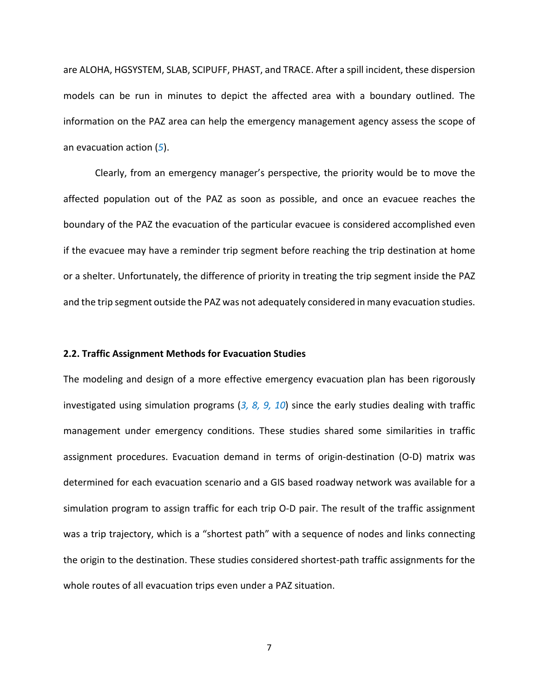are ALOHA, HGSYSTEM, SLAB, SCIPUFF, PHAST, and TRACE. After a spill incident, these dispersion models can be run in minutes to depict the affected area with a boundary outlined. The information on the PAZ area can help the emergency management agency assess the scope of an evacuation action (*5*).

Clearly, from an emergency manager's perspective, the priority would be to move the affected population out of the PAZ as soon as possible, and once an evacuee reaches the boundary of the PAZ the evacuation of the particular evacuee is considered accomplished even if the evacuee may have a reminder trip segment before reaching the trip destination at home or a shelter. Unfortunately, the difference of priority in treating the trip segment inside the PAZ and the trip segment outside the PAZ was not adequately considered in many evacuation studies.

#### **2.2. Traffic Assignment Methods for Evacuation Studies**

The modeling and design of a more effective emergency evacuation plan has been rigorously investigated using simulation programs (*3, 8, 9, 10*) since the early studies dealing with traffic management under emergency conditions. These studies shared some similarities in traffic assignment procedures. Evacuation demand in terms of origin‐destination (O‐D) matrix was determined for each evacuation scenario and a GIS based roadway network was available for a simulation program to assign traffic for each trip O-D pair. The result of the traffic assignment was a trip trajectory, which is a "shortest path" with a sequence of nodes and links connecting the origin to the destination. These studies considered shortest‐path traffic assignments for the whole routes of all evacuation trips even under a PAZ situation.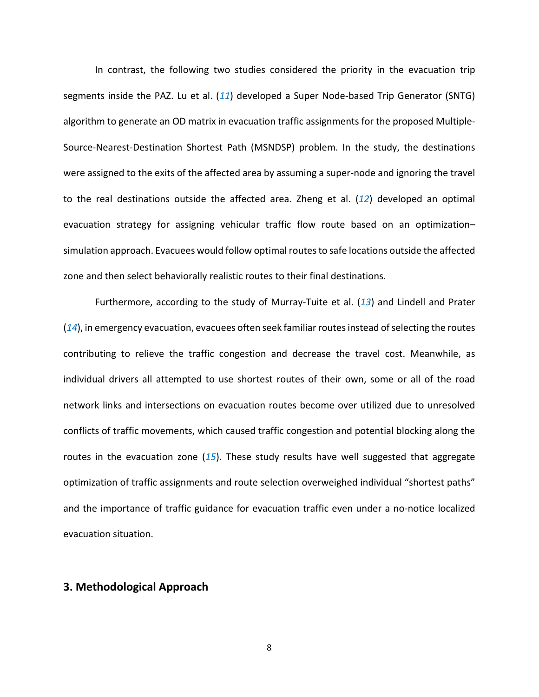In contrast, the following two studies considered the priority in the evacuation trip segments inside the PAZ. Lu et al. (*11*) developed a Super Node‐based Trip Generator (SNTG) algorithm to generate an OD matrix in evacuation traffic assignments for the proposed Multiple‐ Source‐Nearest‐Destination Shortest Path (MSNDSP) problem. In the study, the destinations were assigned to the exits of the affected area by assuming a super-node and ignoring the travel to the real destinations outside the affected area. Zheng et al. (*12*) developed an optimal evacuation strategy for assigning vehicular traffic flow route based on an optimization– simulation approach. Evacuees would follow optimal routesto safe locations outside the affected zone and then select behaviorally realistic routes to their final destinations.

Furthermore, according to the study of Murray‐Tuite et al. (*13*) and Lindell and Prater (14), in emergency evacuation, evacuees often seek familiar routes instead of selecting the routes contributing to relieve the traffic congestion and decrease the travel cost. Meanwhile, as individual drivers all attempted to use shortest routes of their own, some or all of the road network links and intersections on evacuation routes become over utilized due to unresolved conflicts of traffic movements, which caused traffic congestion and potential blocking along the routes in the evacuation zone (*15*). These study results have well suggested that aggregate optimization of traffic assignments and route selection overweighed individual "shortest paths" and the importance of traffic guidance for evacuation traffic even under a no-notice localized evacuation situation.

# **3. Methodological Approach**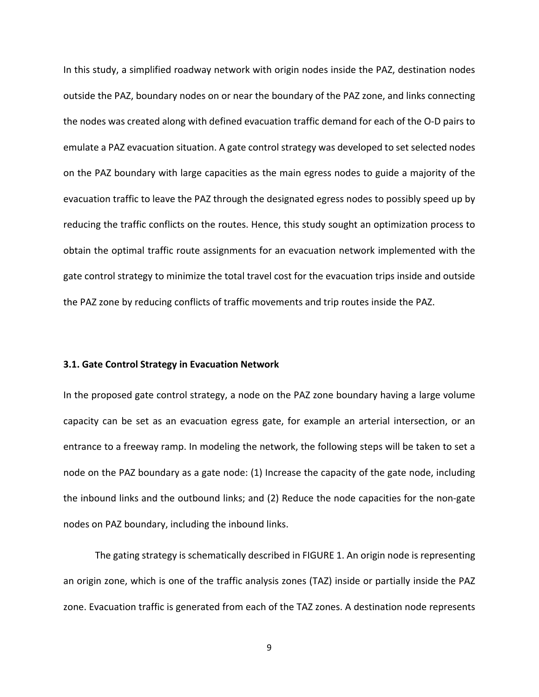In this study, a simplified roadway network with origin nodes inside the PAZ, destination nodes outside the PAZ, boundary nodes on or near the boundary of the PAZ zone, and links connecting the nodes was created along with defined evacuation traffic demand for each of the O‐D pairs to emulate a PAZ evacuation situation. A gate control strategy was developed to set selected nodes on the PAZ boundary with large capacities as the main egress nodes to guide a majority of the evacuation traffic to leave the PAZ through the designated egress nodes to possibly speed up by reducing the traffic conflicts on the routes. Hence, this study sought an optimization process to obtain the optimal traffic route assignments for an evacuation network implemented with the gate control strategy to minimize the total travel cost for the evacuation trips inside and outside the PAZ zone by reducing conflicts of traffic movements and trip routes inside the PAZ.

#### **3.1. Gate Control Strategy in Evacuation Network**

In the proposed gate control strategy, a node on the PAZ zone boundary having a large volume capacity can be set as an evacuation egress gate, for example an arterial intersection, or an entrance to a freeway ramp. In modeling the network, the following steps will be taken to set a node on the PAZ boundary as a gate node: (1) Increase the capacity of the gate node, including the inbound links and the outbound links; and (2) Reduce the node capacities for the non‐gate nodes on PAZ boundary, including the inbound links.

The gating strategy is schematically described in FIGURE 1. An origin node is representing an origin zone, which is one of the traffic analysis zones (TAZ) inside or partially inside the PAZ zone. Evacuation traffic is generated from each of the TAZ zones. A destination node represents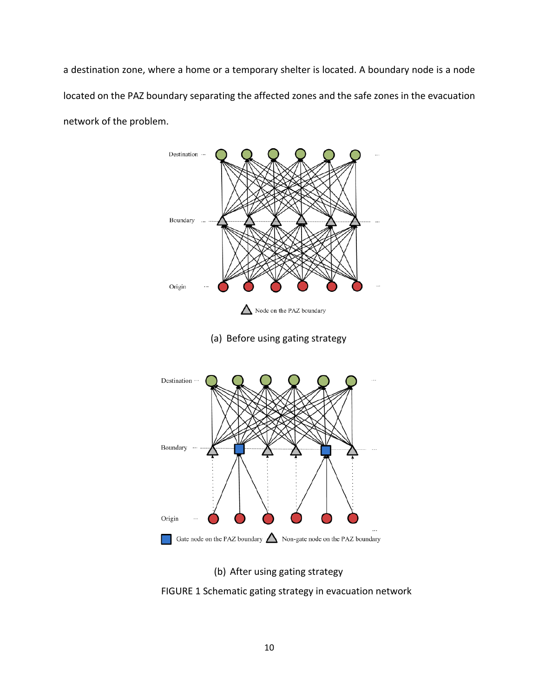a destination zone, where a home or a temporary shelter is located. A boundary node is a node located on the PAZ boundary separating the affected zones and the safe zones in the evacuation network of the problem.



(b) After using gating strategy

FIGURE 1 Schematic gating strategy in evacuation network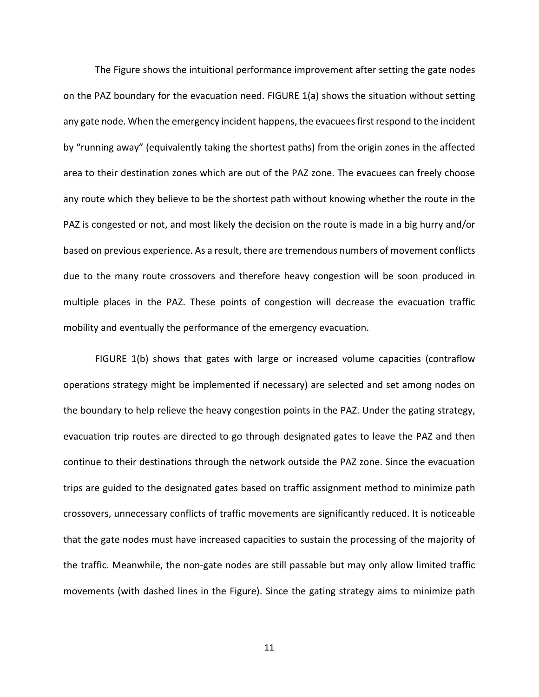The Figure shows the intuitional performance improvement after setting the gate nodes on the PAZ boundary for the evacuation need. FIGURE 1(a) shows the situation without setting any gate node. When the emergency incident happens, the evacueesfirst respond to the incident by "running away" (equivalently taking the shortest paths) from the origin zones in the affected area to their destination zones which are out of the PAZ zone. The evacuees can freely choose any route which they believe to be the shortest path without knowing whether the route in the PAZ is congested or not, and most likely the decision on the route is made in a big hurry and/or based on previous experience. As a result, there are tremendous numbers of movement conflicts due to the many route crossovers and therefore heavy congestion will be soon produced in multiple places in the PAZ. These points of congestion will decrease the evacuation traffic mobility and eventually the performance of the emergency evacuation.

FIGURE 1(b) shows that gates with large or increased volume capacities (contraflow operations strategy might be implemented if necessary) are selected and set among nodes on the boundary to help relieve the heavy congestion points in the PAZ. Under the gating strategy, evacuation trip routes are directed to go through designated gates to leave the PAZ and then continue to their destinations through the network outside the PAZ zone. Since the evacuation trips are guided to the designated gates based on traffic assignment method to minimize path crossovers, unnecessary conflicts of traffic movements are significantly reduced. It is noticeable that the gate nodes must have increased capacities to sustain the processing of the majority of the traffic. Meanwhile, the non‐gate nodes are still passable but may only allow limited traffic movements (with dashed lines in the Figure). Since the gating strategy aims to minimize path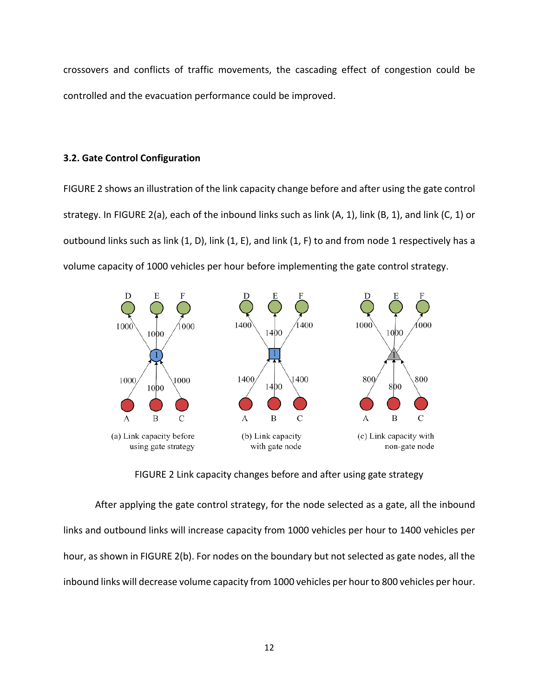crossovers and conflicts of traffic movements, the cascading effect of congestion could be controlled and the evacuation performance could be improved.

#### **3.2. Gate Control Configuration**

FIGURE 2 shows an illustration of the link capacity change before and after using the gate control strategy. In FIGURE 2(a), each of the inbound links such as link (A, 1), link (B, 1), and link (C, 1) or outbound links such as link (1, D), link (1, E), and link (1, F) to and from node 1 respectively has a volume capacity of 1000 vehicles per hour before implementing the gate control strategy.



FIGURE 2 Link capacity changes before and after using gate strategy

After applying the gate control strategy, for the node selected as a gate, all the inbound links and outbound links will increase capacity from 1000 vehicles per hour to 1400 vehicles per hour, as shown in FIGURE 2(b). For nodes on the boundary but not selected as gate nodes, all the inbound links will decrease volume capacity from 1000 vehicles per hour to 800 vehicles per hour.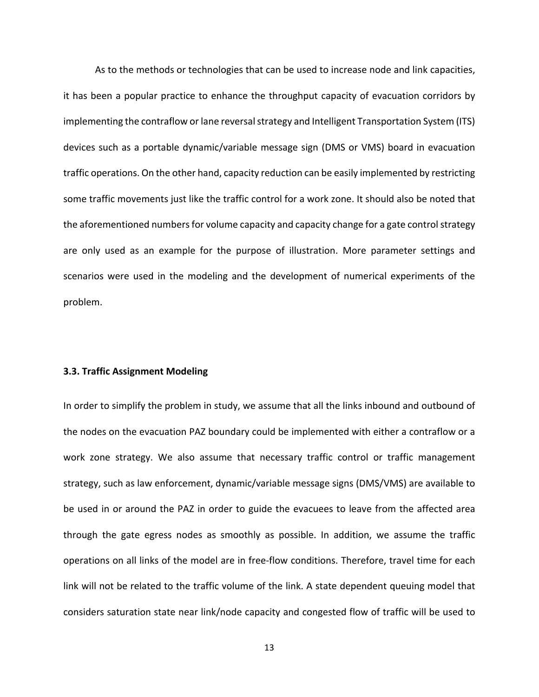As to the methods or technologies that can be used to increase node and link capacities, it has been a popular practice to enhance the throughput capacity of evacuation corridors by implementing the contraflow or lane reversal strategy and Intelligent Transportation System (ITS) devices such as a portable dynamic/variable message sign (DMS or VMS) board in evacuation traffic operations. On the other hand, capacity reduction can be easily implemented by restricting some traffic movements just like the traffic control for a work zone. It should also be noted that the aforementioned numbers for volume capacity and capacity change for a gate control strategy are only used as an example for the purpose of illustration. More parameter settings and scenarios were used in the modeling and the development of numerical experiments of the problem.

#### **3.3. Traffic Assignment Modeling**

In order to simplify the problem in study, we assume that all the links inbound and outbound of the nodes on the evacuation PAZ boundary could be implemented with either a contraflow or a work zone strategy. We also assume that necessary traffic control or traffic management strategy, such as law enforcement, dynamic/variable message signs (DMS/VMS) are available to be used in or around the PAZ in order to guide the evacuees to leave from the affected area through the gate egress nodes as smoothly as possible. In addition, we assume the traffic operations on all links of the model are in free‐flow conditions. Therefore, travel time for each link will not be related to the traffic volume of the link. A state dependent queuing model that considers saturation state near link/node capacity and congested flow of traffic will be used to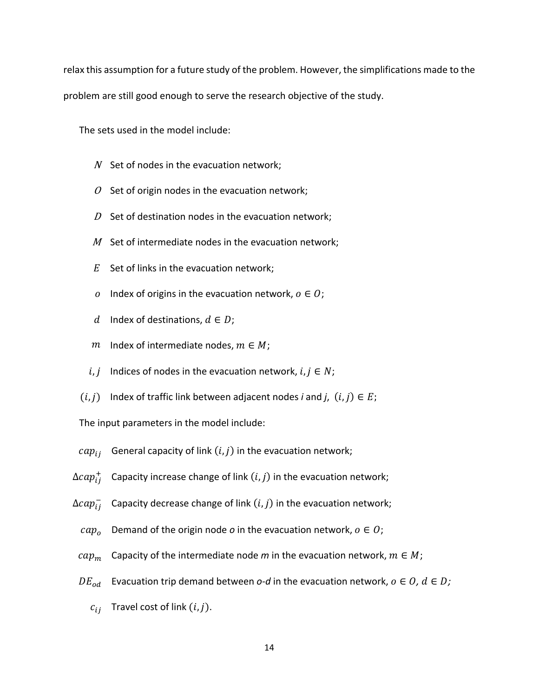relax this assumption for a future study of the problem. However, the simplifications made to the problem are still good enough to serve the research objective of the study.

The sets used in the model include:

- $N$  Set of nodes in the evacuation network;
- $O$  Set of origin nodes in the evacuation network;
- $D$  Set of destination nodes in the evacuation network;
- $M$  Set of intermediate nodes in the evacuation network;
- $E$  Set of links in the evacuation network;
- o Index of origins in the evacuation network,  $o \in O$ ;
- d Index of destinations,  $d \in D$ ;
- $m$  Index of intermediate nodes,  $m \in M$ ;
- *i*, *j* Indices of nodes in the evacuation network,  $i, j \in N$ ;
- $(i, j)$  Index of traffic link between adjacent nodes *i* and *j*,  $(i, j) \in E$ ;

The input parameters in the model include:

- $cap_{ij}$  General capacity of link  $(i, j)$  in the evacuation network;
- $\Delta cap_{ij}^+$  Capacity increase change of link  $(i,j)$  in the evacuation network;
- $\Delta ca p_{ij}^-$  Capacity decrease change of link  $(i,j)$  in the evacuation network;
	- $cap<sub>o</sub>$  Demand of the origin node *o* in the evacuation network,  $o \in O$ ;
- $cap_m$  Capacity of the intermediate node m in the evacuation network,  $m \in M$ ;
- $DE_{od}$  Evacuation trip demand between *o*-*d* in the evacuation network,  $o \in O$ ,  $d \in D$ ;
	- $c_{ij}$  Travel cost of link  $(i, j)$ .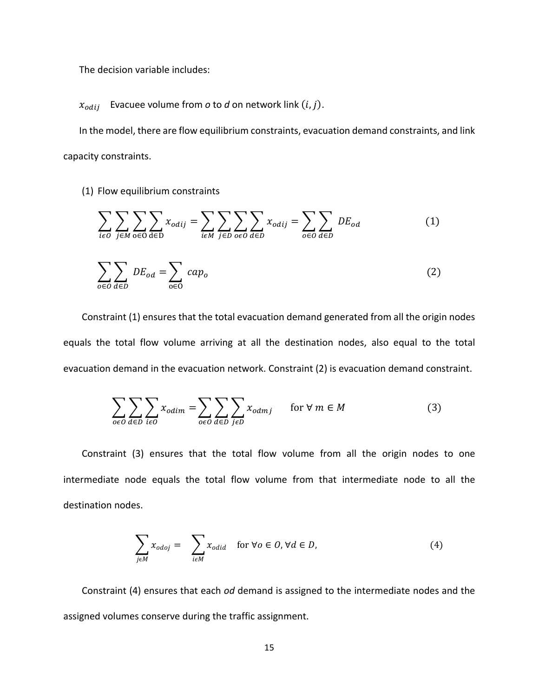The decision variable includes:

 $x_{odij}$  Evacuee volume from *o* to *d* on network link  $(i, j)$ .

In the model, there are flow equilibrium constraints, evacuation demand constraints, and link capacity constraints.

(1) Flow equilibrium constraints

$$
\sum_{i\in O}\sum_{j\in M}\sum_{o\in O}\sum_{d\in D}x_{odij} = \sum_{i\in M}\sum_{j\in D}\sum_{o\in O}\sum_{d\in D}x_{odij} = \sum_{o\in O}\sum_{d\in D}DE_{od}
$$
 (1)

$$
\sum_{o \in O} \sum_{d \in D} DE_{od} = \sum_{o \in O} cap_o \tag{2}
$$

Constraint (1) ensures that the total evacuation demand generated from all the origin nodes equals the total flow volume arriving at all the destination nodes, also equal to the total evacuation demand in the evacuation network. Constraint (2) is evacuation demand constraint.

$$
\sum_{o \in O} \sum_{d \in D} \sum_{i \in O} x_{odim} = \sum_{o \in O} \sum_{d \in D} \sum_{j \in D} x_{odmj} \quad \text{for } \forall m \in M
$$
 (3)

Constraint (3) ensures that the total flow volume from all the origin nodes to one intermediate node equals the total flow volume from that intermediate node to all the destination nodes.

$$
\sum_{j \in M} x_{\text{odoj}} = \sum_{i \in M} x_{\text{odid}} \quad \text{for } \forall \text{o} \in \text{O}, \forall \text{d} \in \text{D}, \tag{4}
$$

Constraint (4) ensures that each *od* demand is assigned to the intermediate nodes and the assigned volumes conserve during the traffic assignment.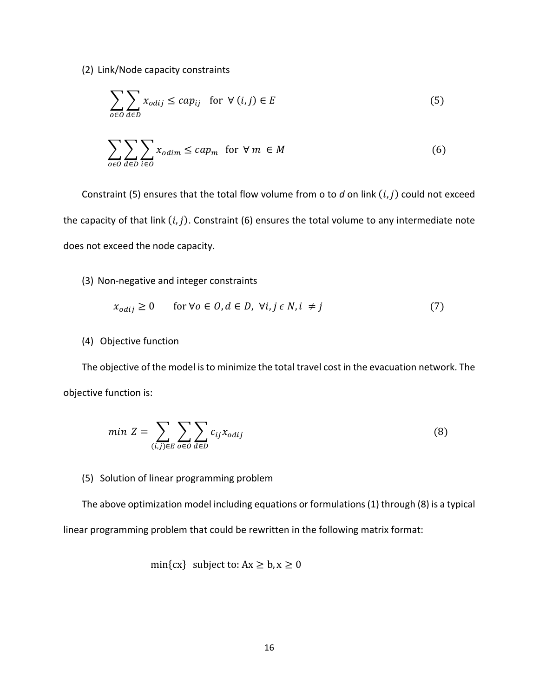(2) Link/Node capacity constraints

$$
\sum_{o \in O} \sum_{d \in D} x_{odij} \le cap_{ij} \quad \text{for } \forall (i, j) \in E
$$
 (5)

$$
\sum_{o \in O} \sum_{d \in D} \sum_{i \in O} x_{odim} \le cap_m \text{ for } \forall m \in M
$$
 (6)

Constraint (5) ensures that the total flow volume from o to  $d$  on link  $(i, j)$  could not exceed the capacity of that link  $(i, j)$ . Constraint (6) ensures the total volume to any intermediate note does not exceed the node capacity.

#### (3) Non‐negative and integer constraints

$$
x_{odij} \ge 0 \qquad \text{for } \forall o \in O, d \in D, \ \forall i, j \in N, i \ne j \tag{7}
$$

#### (4) Objective function

The objective of the model is to minimize the total travel cost in the evacuation network. The objective function is:

$$
min Z = \sum_{(i,j)\in E} \sum_{o\in O} \sum_{d\in D} c_{ij} x_{odij}
$$
\n(8)

#### (5) Solution of linear programming problem

The above optimization model including equations or formulations(1) through (8) is a typical linear programming problem that could be rewritten in the following matrix format:

$$
\min\{cx\} \text{ subject to: } Ax \ge b, x \ge 0
$$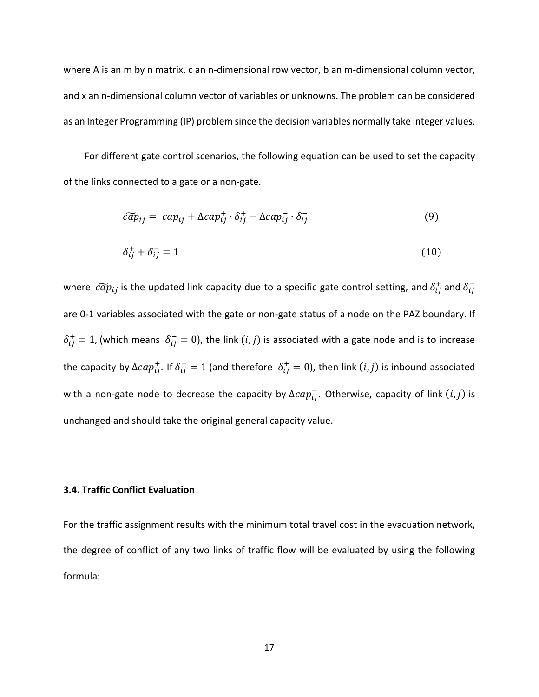where A is an m by n matrix, c an n-dimensional row vector, b an m-dimensional column vector, and x an n-dimensional column vector of variables or unknowns. The problem can be considered as an Integer Programming (IP) problem since the decision variables normally take integer values.

For different gate control scenarios, the following equation can be used to set the capacity of the links connected to a gate or a non‐gate.

$$
\tilde{cap}_{ij} = cap_{ij} + \Delta cap_{ij}^+ \cdot \delta_{ij}^+ - \Delta cap_{ij}^- \cdot \delta_{ij}^- \tag{9}
$$

$$
\delta_{ij}^+ + \delta_{ij}^- = 1 \tag{10}
$$

where  $\ c\widetilde{a}p_{ij}$  is the updated link capacity due to a specific gate control setting, and  $\delta_{ij}^+$  and  $\delta_{ij}^$ are 0-1 variables associated with the gate or non-gate status of a node on the PAZ boundary. If  $\delta_{ij}^+ = 1$ , (which means  $\delta_{ij}^- = 0$ ), the link  $(i, j)$  is associated with a gate node and is to increase the capacity by  $\Delta cap^+_{ij}$ . If  $\delta_{ij}^- = 1$  (and therefore  $\,\delta^+_{ij} = 0$ ), then link  $(i,j)$  is inbound associated with a non-gate node to decrease the capacity by  $\Delta cap^-_{ij}$ . Otherwise, capacity of link  $(i,j)$  is unchanged and should take the original general capacity value.

## **3.4. Traffic Conflict Evaluation**

For the traffic assignment results with the minimum total travel cost in the evacuation network, the degree of conflict of any two links of traffic flow will be evaluated by using the following formula: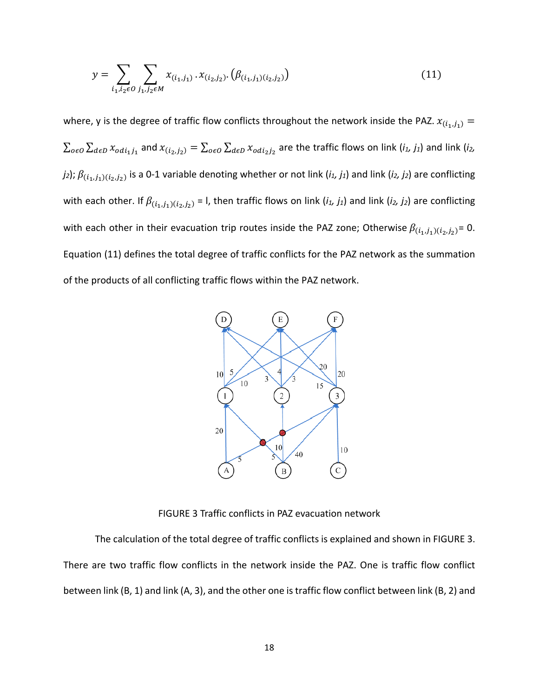$$
y = \sum_{i_1, i_2 \in O} \sum_{j_1, j_2 \in M} x_{(i_1, j_1)} \cdot x_{(i_2, j_2)} \cdot (\beta_{(i_1, j_1)(i_2, j_2)}) \tag{11}
$$

where, y is the degree of traffic flow conflicts throughout the network inside the PAZ.  $x_{(i_1,j_1)} =$  $\sum_{o \in O} \sum_{d \in D} x_{odi_1j_1}$  and  $x_{(i_2,j_2)} = \sum_{o \in O} \sum_{d \in D} x_{odi_2j_2}$  are the traffic flows on link (*i<sub>1</sub>, j<sub>1</sub>*) and link (*i<sub>2</sub>, j*<sub>2</sub>);  $\beta_{(i_1,j_1)(i_2,j_2)}$  is a 0-1 variable denoting whether or not link (*i*<sub>1</sub>, *j*<sub>1</sub>) and link (*i*<sub>2</sub>, *j*<sub>2</sub>) are conflicting with each other. If  $\beta_{(i_1,j_1)(i_2,j_2)}$  = 1, then traffic flows on link  $(i_1, j_1)$  and link  $(i_2, j_2)$  are conflicting with each other in their evacuation trip routes inside the PAZ zone; Otherwise  $\beta_{(i_1,j_1)(i_2,j_2)}=0$ . Equation (11) defines the total degree of traffic conflicts for the PAZ network as the summation of the products of all conflicting traffic flows within the PAZ network.



FIGURE 3 Traffic conflicts in PAZ evacuation network

The calculation of the total degree of traffic conflicts is explained and shown in FIGURE 3. There are two traffic flow conflicts in the network inside the PAZ. One is traffic flow conflict between link (B, 1) and link (A, 3), and the other one is traffic flow conflict between link (B, 2) and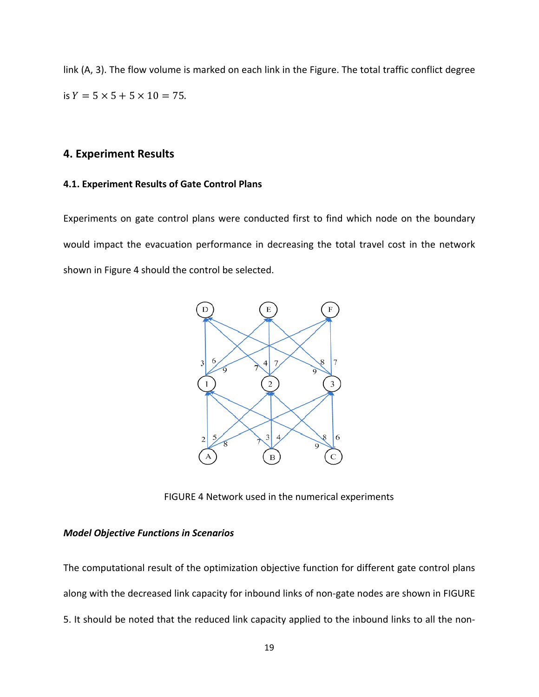link (A, 3). The flow volume is marked on each link in the Figure. The total traffic conflict degree is  $Y = 5 \times 5 + 5 \times 10 = 75$ .

# **4. Experiment Results**

#### **4.1. Experiment Results of Gate Control Plans**

Experiments on gate control plans were conducted first to find which node on the boundary would impact the evacuation performance in decreasing the total travel cost in the network shown in Figure 4 should the control be selected.



FIGURE 4 Network used in the numerical experiments

## *Model Objective Functions in Scenarios*

The computational result of the optimization objective function for different gate control plans along with the decreased link capacity for inbound links of non-gate nodes are shown in FIGURE 5. It should be noted that the reduced link capacity applied to the inbound links to all the non‐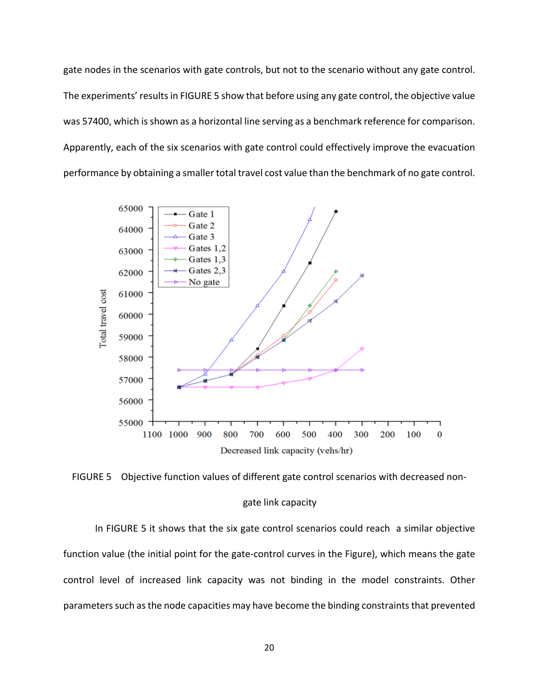gate nodes in the scenarios with gate controls, but not to the scenario without any gate control. The experiments' resultsin FIGURE 5 show that before using any gate control, the objective value was 57400, which is shown as a horizontal line serving as a benchmark reference for comparison. Apparently, each of the six scenarios with gate control could effectively improve the evacuation performance by obtaining a smaller total travel cost value than the benchmark of no gate control.



FIGURE 5 Objective function values of different gate control scenarios with decreased nongate link capacity

In FIGURE 5 it shows that the six gate control scenarios could reach a similar objective function value (the initial point for the gate‐control curves in the Figure), which means the gate control level of increased link capacity was not binding in the model constraints. Other parameters such as the node capacities may have become the binding constraints that prevented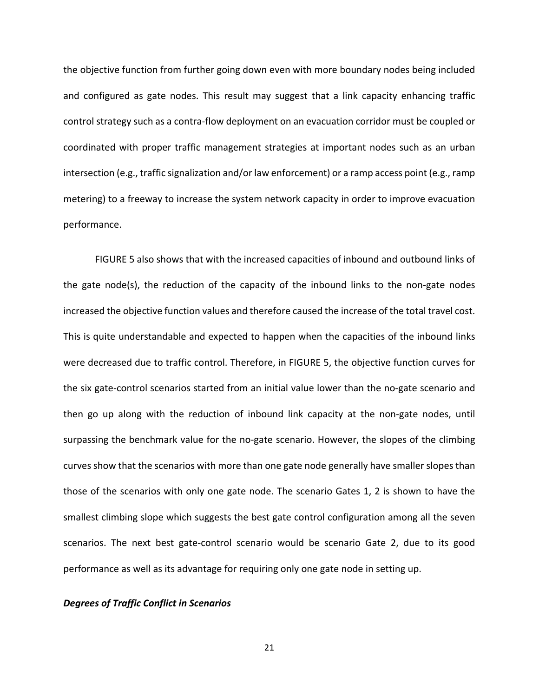the objective function from further going down even with more boundary nodes being included and configured as gate nodes. This result may suggest that a link capacity enhancing traffic control strategy such as a contra‐flow deployment on an evacuation corridor must be coupled or coordinated with proper traffic management strategies at important nodes such as an urban intersection (e.g., traffic signalization and/or law enforcement) or a ramp access point (e.g., ramp metering) to a freeway to increase the system network capacity in order to improve evacuation performance.

FIGURE 5 also shows that with the increased capacities of inbound and outbound links of the gate node(s), the reduction of the capacity of the inbound links to the non‐gate nodes increased the objective function values and therefore caused the increase of the total travel cost. This is quite understandable and expected to happen when the capacities of the inbound links were decreased due to traffic control. Therefore, in FIGURE 5, the objective function curves for the six gate‐control scenarios started from an initial value lower than the no‐gate scenario and then go up along with the reduction of inbound link capacity at the non-gate nodes, until surpassing the benchmark value for the no-gate scenario. However, the slopes of the climbing curves show that the scenarios with more than one gate node generally have smaller slopes than those of the scenarios with only one gate node. The scenario Gates 1, 2 is shown to have the smallest climbing slope which suggests the best gate control configuration among all the seven scenarios. The next best gate‐control scenario would be scenario Gate 2, due to its good performance as well as its advantage for requiring only one gate node in setting up.

#### *Degrees of Traffic Conflict in Scenarios*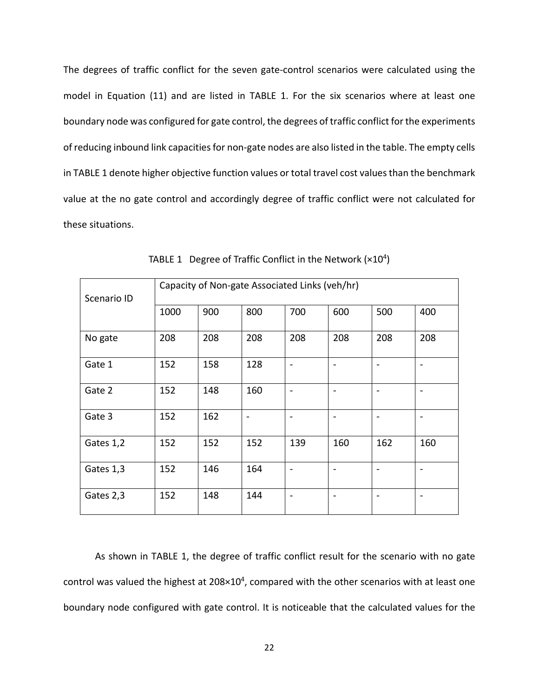The degrees of traffic conflict for the seven gate‐control scenarios were calculated using the model in Equation (11) and are listed in TABLE 1. For the six scenarios where at least one boundary node was configured for gate control, the degrees of traffic conflict for the experiments of reducing inbound link capacities for non-gate nodes are also listed in the table. The empty cells in TABLE 1 denote higher objective function values or total travel cost values than the benchmark value at the no gate control and accordingly degree of traffic conflict were not calculated for these situations.

| Scenario ID | Capacity of Non-gate Associated Links (veh/hr) |     |     |     |                          |     |     |
|-------------|------------------------------------------------|-----|-----|-----|--------------------------|-----|-----|
|             | 1000                                           | 900 | 800 | 700 | 600                      | 500 | 400 |
| No gate     | 208                                            | 208 | 208 | 208 | 208                      | 208 | 208 |
| Gate 1      | 152                                            | 158 | 128 |     | $\overline{\phantom{0}}$ |     |     |
| Gate 2      | 152                                            | 148 | 160 |     |                          |     |     |
| Gate 3      | 152                                            | 162 |     |     |                          |     |     |
| Gates 1,2   | 152                                            | 152 | 152 | 139 | 160                      | 162 | 160 |
| Gates 1,3   | 152                                            | 146 | 164 |     |                          |     |     |
| Gates 2,3   | 152                                            | 148 | 144 |     |                          |     |     |

TABLE 1 Degree of Traffic Conflict in the Network  $(x10^4)$ 

As shown in TABLE 1, the degree of traffic conflict result for the scenario with no gate control was valued the highest at 208×104, compared with the other scenarios with at least one boundary node configured with gate control. It is noticeable that the calculated values for the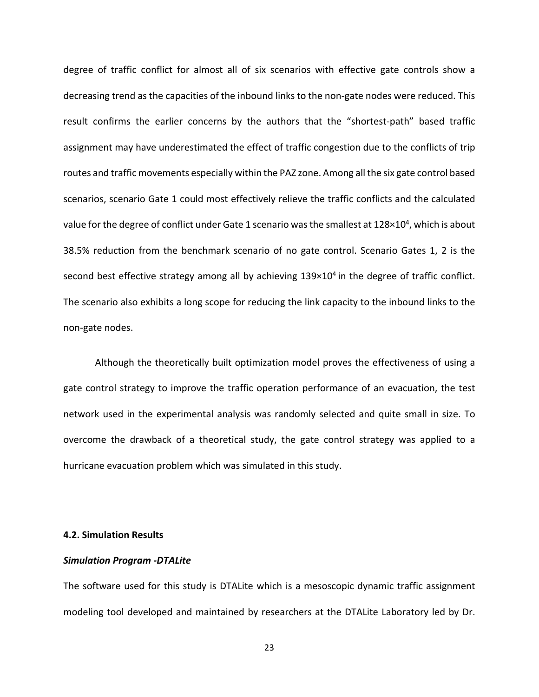degree of traffic conflict for almost all of six scenarios with effective gate controls show a decreasing trend as the capacities of the inbound links to the non‐gate nodes were reduced. This result confirms the earlier concerns by the authors that the "shortest-path" based traffic assignment may have underestimated the effect of traffic congestion due to the conflicts of trip routes and traffic movements especially within the PAZ zone. Among all the six gate control based scenarios, scenario Gate 1 could most effectively relieve the traffic conflicts and the calculated value for the degree of conflict under Gate 1 scenario was the smallest at 128×10<sup>4</sup>, which is about 38.5% reduction from the benchmark scenario of no gate control. Scenario Gates 1, 2 is the second best effective strategy among all by achieving 139×10<sup>4</sup> in the degree of traffic conflict. The scenario also exhibits a long scope for reducing the link capacity to the inbound links to the non‐gate nodes.

Although the theoretically built optimization model proves the effectiveness of using a gate control strategy to improve the traffic operation performance of an evacuation, the test network used in the experimental analysis was randomly selected and quite small in size. To overcome the drawback of a theoretical study, the gate control strategy was applied to a hurricane evacuation problem which was simulated in this study.

#### **4.2. Simulation Results**

#### *Simulation Program ‐DTALite*

The software used for this study is DTALite which is a mesoscopic dynamic traffic assignment modeling tool developed and maintained by researchers at the DTALite Laboratory led by Dr.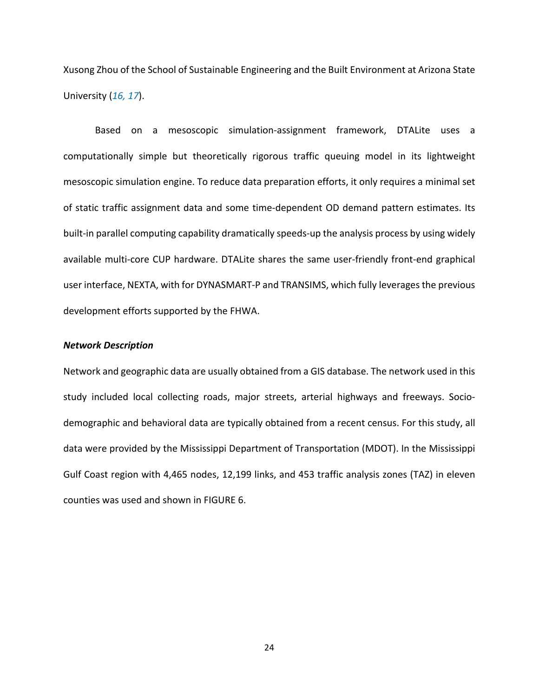Xusong Zhou of the School of Sustainable Engineering and the Built Environment at Arizona State University (*16, 17*).

Based on a mesoscopic simulation‐assignment framework, DTALite uses a computationally simple but theoretically rigorous traffic queuing model in its lightweight mesoscopic simulation engine. To reduce data preparation efforts, it only requires a minimal set of static traffic assignment data and some time‐dependent OD demand pattern estimates. Its built-in parallel computing capability dramatically speeds-up the analysis process by using widely available multi-core CUP hardware. DTALite shares the same user-friendly front-end graphical user interface, NEXTA, with for DYNASMART‐P and TRANSIMS, which fully leveragesthe previous development efforts supported by the FHWA.

#### *Network Description*

Network and geographic data are usually obtained from a GIS database. The network used in this study included local collecting roads, major streets, arterial highways and freeways. Socio‐ demographic and behavioral data are typically obtained from a recent census. For this study, all data were provided by the Mississippi Department of Transportation (MDOT). In the Mississippi Gulf Coast region with 4,465 nodes, 12,199 links, and 453 traffic analysis zones (TAZ) in eleven counties was used and shown in FIGURE 6.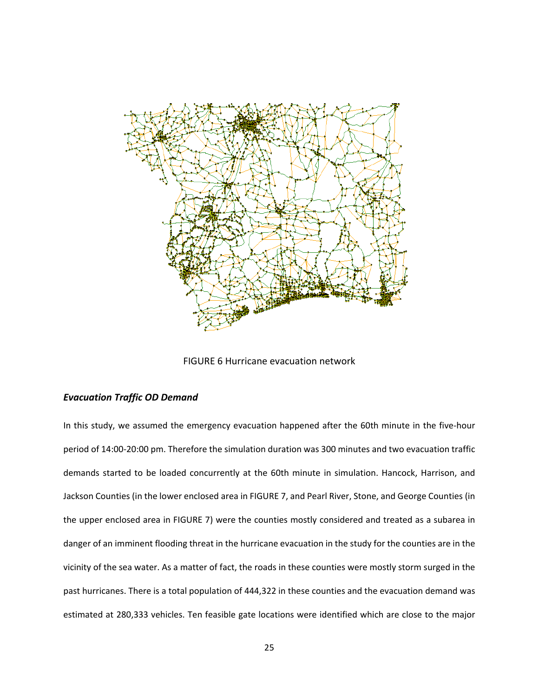

FIGURE 6 Hurricane evacuation network

#### *Evacuation Traffic OD Demand*

In this study, we assumed the emergency evacuation happened after the 60th minute in the five‐hour period of 14:00‐20:00 pm. Therefore the simulation duration was 300 minutes and two evacuation traffic demands started to be loaded concurrently at the 60th minute in simulation. Hancock, Harrison, and Jackson Counties (in the lower enclosed area in FIGURE 7, and Pearl River, Stone, and George Counties (in the upper enclosed area in FIGURE 7) were the counties mostly considered and treated as a subarea in danger of an imminent flooding threat in the hurricane evacuation in the study for the counties are in the vicinity of the sea water. As a matter of fact, the roads in these counties were mostly storm surged in the past hurricanes. There is a total population of 444,322 in these counties and the evacuation demand was estimated at 280,333 vehicles. Ten feasible gate locations were identified which are close to the major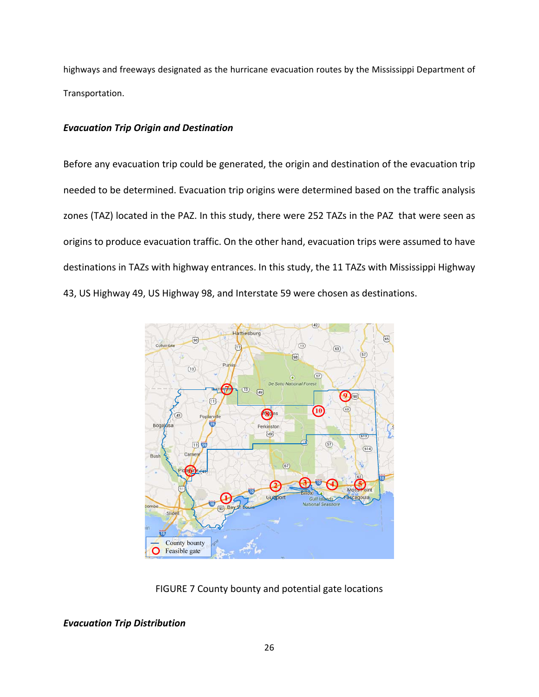highways and freeways designated as the hurricane evacuation routes by the Mississippi Department of Transportation.

# *Evacuation Trip Origin and Destination*

Before any evacuation trip could be generated, the origin and destination of the evacuation trip needed to be determined. Evacuation trip origins were determined based on the traffic analysis zones (TAZ) located in the PAZ. In this study, there were 252 TAZs in the PAZ that were seen as origins to produce evacuation traffic. On the other hand, evacuation trips were assumed to have destinations in TAZs with highway entrances. In this study, the 11 TAZs with Mississippi Highway 43, US Highway 49, US Highway 98, and Interstate 59 were chosen as destinations.



FIGURE 7 County bounty and potential gate locations

*Evacuation Trip Distribution*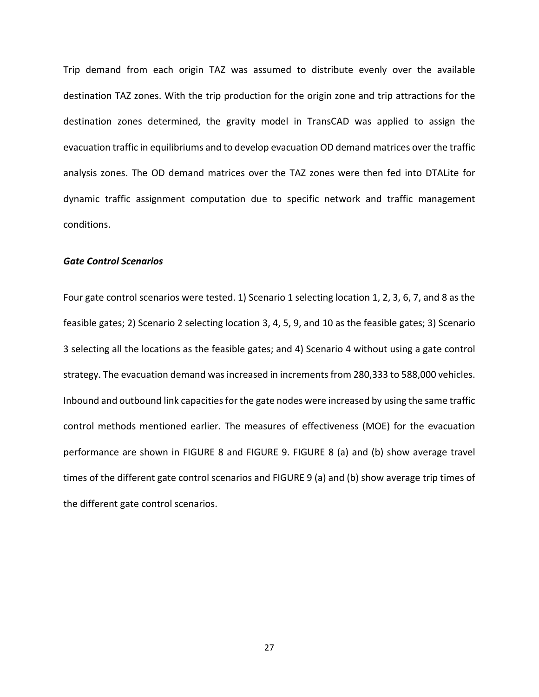Trip demand from each origin TAZ was assumed to distribute evenly over the available destination TAZ zones. With the trip production for the origin zone and trip attractions for the destination zones determined, the gravity model in TransCAD was applied to assign the evacuation traffic in equilibriums and to develop evacuation OD demand matrices over the traffic analysis zones. The OD demand matrices over the TAZ zones were then fed into DTALite for dynamic traffic assignment computation due to specific network and traffic management conditions.

#### *Gate Control Scenarios*

Four gate control scenarios were tested. 1) Scenario 1 selecting location 1, 2, 3, 6, 7, and 8 as the feasible gates; 2) Scenario 2 selecting location 3, 4, 5, 9, and 10 as the feasible gates; 3) Scenario 3 selecting all the locations as the feasible gates; and 4) Scenario 4 without using a gate control strategy. The evacuation demand was increased in increments from 280,333 to 588,000 vehicles. Inbound and outbound link capacities for the gate nodes were increased by using the same traffic control methods mentioned earlier. The measures of effectiveness (MOE) for the evacuation performance are shown in FIGURE 8 and FIGURE 9. FIGURE 8 (a) and (b) show average travel times of the different gate control scenarios and FIGURE 9 (a) and (b) show average trip times of the different gate control scenarios.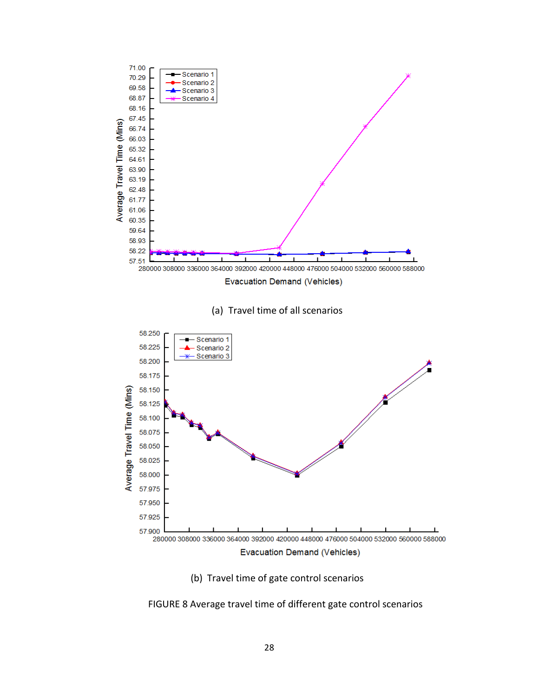

(b) Travel time of gate control scenarios

FIGURE 8 Average travel time of different gate control scenarios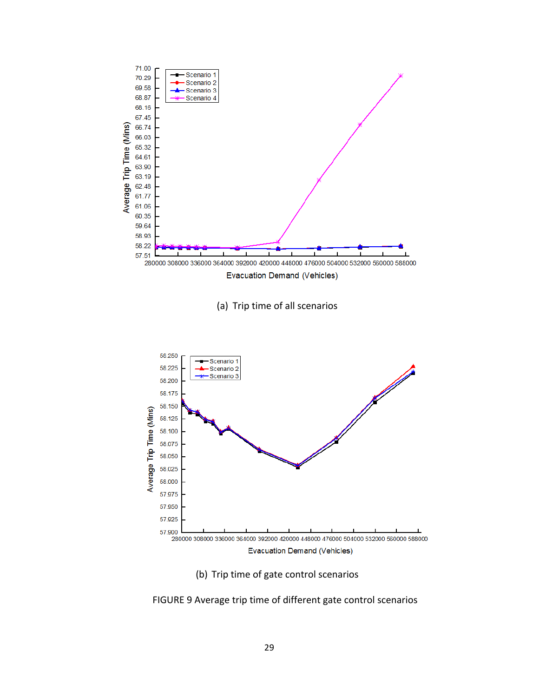

(b) Trip time of gate control scenarios

FIGURE 9 Average trip time of different gate control scenarios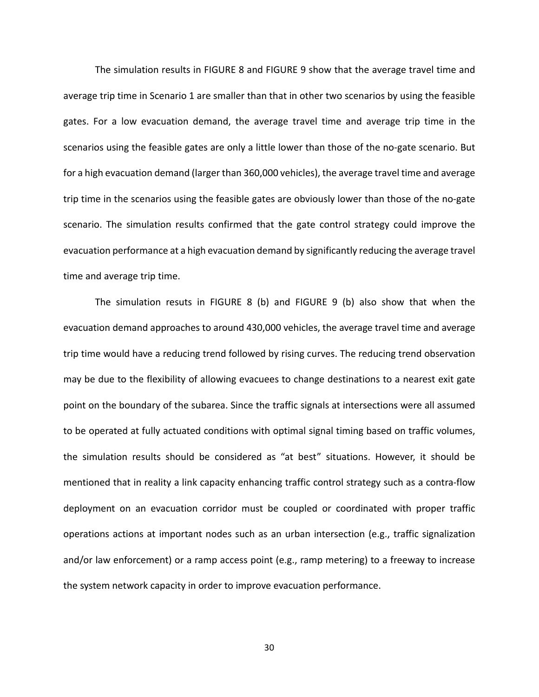The simulation results in FIGURE 8 and FIGURE 9 show that the average travel time and average trip time in Scenario 1 are smaller than that in other two scenarios by using the feasible gates. For a low evacuation demand, the average travel time and average trip time in the scenarios using the feasible gates are only a little lower than those of the no-gate scenario. But for a high evacuation demand (larger than 360,000 vehicles), the average travel time and average trip time in the scenarios using the feasible gates are obviously lower than those of the no‐gate scenario. The simulation results confirmed that the gate control strategy could improve the evacuation performance at a high evacuation demand by significantly reducing the average travel time and average trip time.

The simulation resuts in FIGURE 8 (b) and FIGURE 9 (b) also show that when the evacuation demand approaches to around 430,000 vehicles, the average travel time and average trip time would have a reducing trend followed by rising curves. The reducing trend observation may be due to the flexibility of allowing evacuees to change destinations to a nearest exit gate point on the boundary of the subarea. Since the traffic signals at intersections were all assumed to be operated at fully actuated conditions with optimal signal timing based on traffic volumes, the simulation results should be considered as "at best" situations. However, it should be mentioned that in reality a link capacity enhancing traffic control strategy such as a contra‐flow deployment on an evacuation corridor must be coupled or coordinated with proper traffic operations actions at important nodes such as an urban intersection (e.g., traffic signalization and/or law enforcement) or a ramp access point (e.g., ramp metering) to a freeway to increase the system network capacity in order to improve evacuation performance.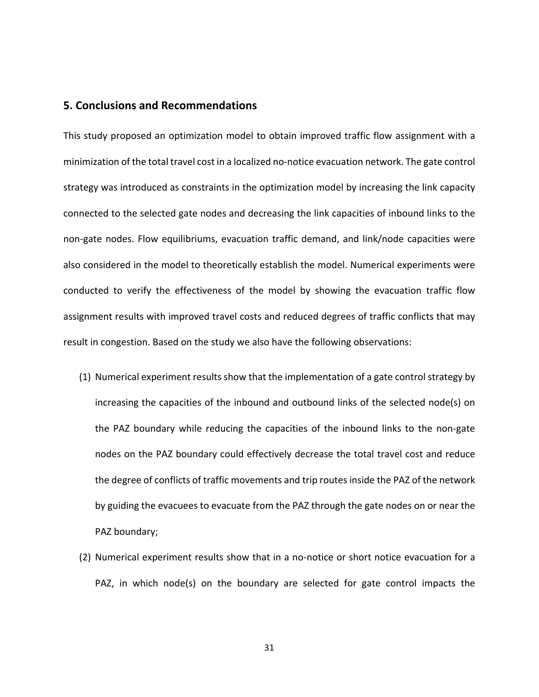# **5. Conclusions and Recommendations**

This study proposed an optimization model to obtain improved traffic flow assignment with a minimization of the total travel cost in a localized no‐notice evacuation network. The gate control strategy was introduced as constraints in the optimization model by increasing the link capacity connected to the selected gate nodes and decreasing the link capacities of inbound links to the non‐gate nodes. Flow equilibriums, evacuation traffic demand, and link/node capacities were also considered in the model to theoretically establish the model. Numerical experiments were conducted to verify the effectiveness of the model by showing the evacuation traffic flow assignment results with improved travel costs and reduced degrees of traffic conflicts that may result in congestion. Based on the study we also have the following observations:

- (1) Numerical experiment results show that the implementation of a gate control strategy by increasing the capacities of the inbound and outbound links of the selected node(s) on the PAZ boundary while reducing the capacities of the inbound links to the non‐gate nodes on the PAZ boundary could effectively decrease the total travel cost and reduce the degree of conflicts of traffic movements and trip routes inside the PAZ of the network by guiding the evacuees to evacuate from the PAZ through the gate nodes on or near the PAZ boundary;
- (2) Numerical experiment results show that in a no‐notice or short notice evacuation for a PAZ, in which node(s) on the boundary are selected for gate control impacts the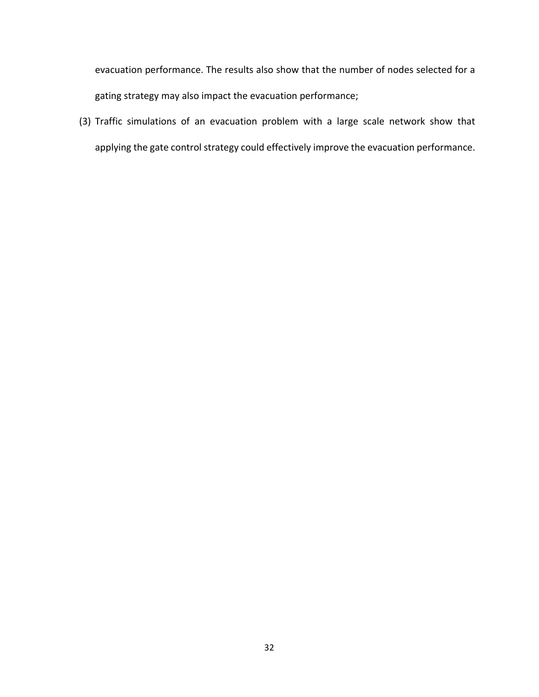evacuation performance. The results also show that the number of nodes selected for a gating strategy may also impact the evacuation performance;

(3) Traffic simulations of an evacuation problem with a large scale network show that applying the gate control strategy could effectively improve the evacuation performance.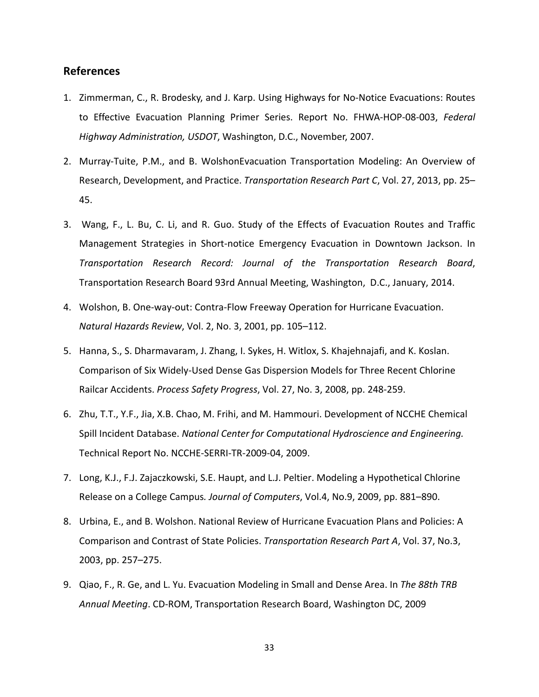# **References**

- 1. Zimmerman, C., R. Brodesky, and J. Karp. Using Highways for No‐Notice Evacuations: Routes to Effective Evacuation Planning Primer Series. Report No. FHWA‐HOP‐08‐003, *Federal Highway Administration, USDOT*, Washington, D.C., November, 2007.
- 2. Murray‐Tuite, P.M., and B. WolshonEvacuation Transportation Modeling: An Overview of Research, Development, and Practice. *Transportation Research Part C*, Vol. 27, 2013, pp. 25– 45.
- 3. Wang, F., L. Bu, C. Li, and R. Guo. Study of the Effects of Evacuation Routes and Traffic Management Strategies in Short‐notice Emergency Evacuation in Downtown Jackson. In *Transportation Research Record: Journal of the Transportation Research Board*, Transportation Research Board 93rd Annual Meeting, Washington, D.C., January, 2014.
- 4. Wolshon, B. One‐way‐out: Contra‐Flow Freeway Operation for Hurricane Evacuation. *Natural Hazards Review*, Vol. 2, No. 3, 2001, pp. 105–112.
- 5. Hanna, S., S. Dharmavaram, J. Zhang, I. Sykes, H. Witlox, S. Khajehnajafi, and K. Koslan. Comparison of Six Widely‐Used Dense Gas Dispersion Models for Three Recent Chlorine Railcar Accidents. *Process Safety Progress*, Vol. 27, No. 3, 2008, pp. 248‐259.
- 6. Zhu, T.T., Y.F., Jia, X.B. Chao, M. Frihi, and M. Hammouri. Development of NCCHE Chemical Spill Incident Database. *National Center for Computational Hydroscience and Engineering.* Technical Report No. NCCHE‐SERRI‐TR‐2009‐04, 2009.
- 7. Long, K.J., F.J. Zajaczkowski, S.E. Haupt, and L.J. Peltier. Modeling a Hypothetical Chlorine Release on a College Campus*. Journal of Computers*, Vol.4, No.9, 2009, pp. 881–890.
- 8. Urbina, E., and B. Wolshon. National Review of Hurricane Evacuation Plans and Policies: A Comparison and Contrast of State Policies. *Transportation Research Part A*, Vol. 37, No.3, 2003, pp. 257–275.
- 9. Qiao, F., R. Ge, and L. Yu. Evacuation Modeling in Small and Dense Area. In *The 88th TRB Annual Meeting*. CD‐ROM, Transportation Research Board, Washington DC, 2009